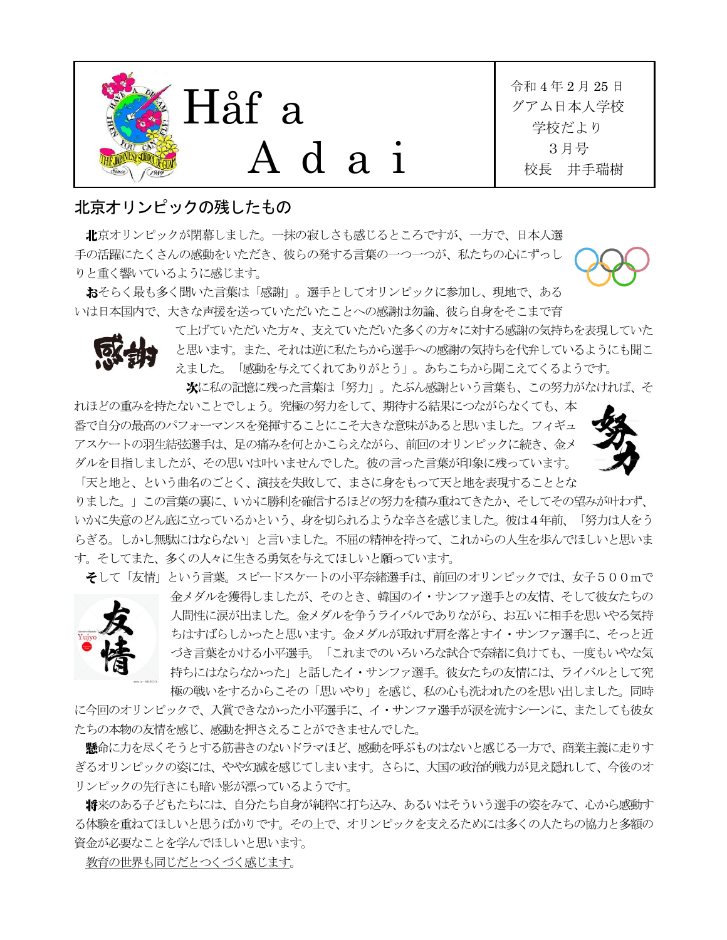

## 北京オリンピックの残したもの

北京オリンピックが閉幕しました。一抹の寂しさも感じるところですが、一方で、日本人選 手の活躍にたくさんの感動をいただき、彼らの発する言葉の一つ一つが、私たちの心にずっし りと重く響いているように感じます。

おそらく最も多く聞いた言葉は「感謝」。選手としてオリンピックに参加し、現地で、ある いは日本国内で、大きな声援を送っていただいたことへの感謝は勿論、彼ら自身をそこまで育



て上げていただいた方々、支えていただいた多くの方々に対する感謝の気持ちを表現していた と思います。また、それは逆に私たちから選手への感謝の気持ちを代弁しているようにも聞こ えました。「感動を与えてくれてありがとう」。あちこちから聞こえてくるようです。

次に私の記憶に残った言葉は「努力」。たぶん感謝という言葉も、この努力がなければ、そ

れほどの重みを持たないことでしょう。究極の努力をして、期待する結果につながらなくても、本 番で自分の最高のパフォーマンスを発揮することにこそ大きな意味があると思いました。フィギュ アスケートの羽生結弦選手は、足の痛みを何とかこらえながら、前回のオリンピックに続き、金メ ダルを目指しましたが、その思いは叶いませんでした。彼の言った言葉が印象に残っています。 「天と地と、という曲名のごとく、演技を失敗して、まさに身をもって天と地を表現することとな



りました。」この言葉の裏に、いかに勝利を確信するほどの努力を積み重ねてきたか、そしてその望みが叶わず、 いかに失意のどん底に立っているかという、身を切られるような辛さを感じました。彼は4年前、「努力は人をう らぎる。しかし無駄にはならない」と言いました。不屈の精神を持って、これからの人生を歩んでほしいと思いま す。そしてまた、多くの人々に生きる勇気を与えてほしいと願っています。

そして「友情」という言葉。スピードスケートの小平奈緒選手は、前回のオリンピックでは、女子500mで



金メダルを獲得しましたが、そのとき、韓国のイ・サンファ選手との友情、そして彼女たちの 人間性に涙が出ました。金メダルを争うライバルでありながら、お互いに相手を思いやる気持 ちはすばらしかったと思います。金メダルが取れず肩を落とすイ・サンファ選手に、そっと近 づき言葉をかける小平選手。「これまでのいろいろな試合で奈緒に負けても、一度もいやな気 持ちにはならなかった」と話したイ・サンファ選手。彼女たちの友情には、ライバルとして究 極の戦いをするからこその「思いやり」を感じ、私の心も洗われたのを思い出しました。同時

に今回のオリンピックで、入賞できなかった小平選手に、イ・サンファ選手が涙を流すシーンに、またしても彼女 たちの本物の友情を感じ、感動を押さえることができませんでした。

懸命に力を尽くそうとする筋書きのないドラマほど、感動を呼ぶものはないと感じる一方で、商業主義に走りす ぎるオリンピックの姿には、やや幻滅を感じてしまいます。さらに、大国の政治的戦力が見え隠れして、今後のオ リンピックの先行きにも暗い影が漂っているようです。

将来のある子どもたちには、自分たち自身が純粋に打ち込み、あるいはそういう選手の姿をみて、心から感動す る体験を重ねてほしいと思うばかりです。その上で、オリンピックを支えるためには多くの人たちの協力と多額の 資金が必要なことを学んでほしいと思います。

教育の世界も同じだとつくづく感じます。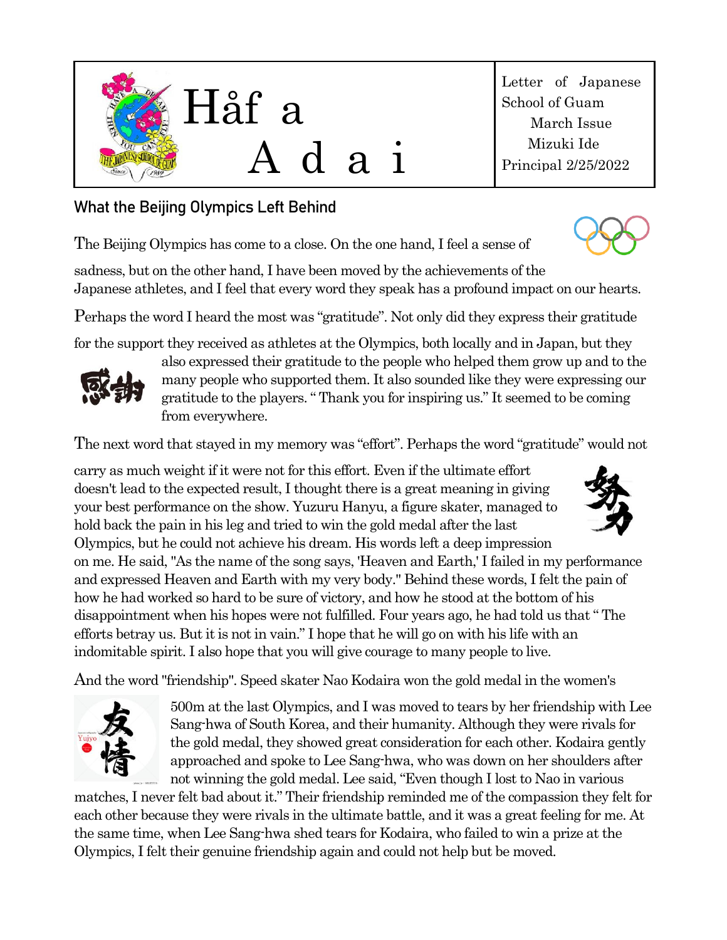

Letter of Japanese School of Guam March Issue Mizuki Ide Principal 2/25/2022

## What the Beijing Olympics Left Behind

The Beijing Olympics has come to a close. On the one hand, I feel a sense of

sadness, but on the other hand, I have been moved by the achievements of the Japanese athletes, and I feel that every word they speak has a profound impact on our hearts.

Perhaps the word I heard the most was "gratitude". Not only did they express their gratitude

for the support they received as athletes at the Olympics, both locally and in Japan, but they



also expressed their gratitude to the people who helped them grow up and to the many people who supported them. It also sounded like they were expressing our gratitude to the players. " Thank you for inspiring us." It seemed to be coming from everywhere.

The next word that stayed in my memory was "effort". Perhaps the word "gratitude" would not

carry as much weight if it were not for this effort. Even if the ultimate effort doesn't lead to the expected result, I thought there is a great meaning in giving your best performance on the show. Yuzuru Hanyu, a figure skater, managed to hold back the pain in his leg and tried to win the gold medal after the last Olympics, but he could not achieve his dream. His words left a deep impression

on me. He said, "As the name of the song says, 'Heaven and Earth,' I failed in my performance and expressed Heaven and Earth with my very body." Behind these words, I felt the pain of how he had worked so hard to be sure of victory, and how he stood at the bottom of his disappointment when his hopes were not fulfilled. Four years ago, he had told us that " The efforts betray us. But it is not in vain." I hope that he will go on with his life with an indomitable spirit. I also hope that you will give courage to many people to live.

And the word "friendship". Speed skater Nao Kodaira won the gold medal in the women's



500m at the last Olympics, and I was moved to tears by her friendship with Lee Sang-hwa of South Korea, and their humanity. Although they were rivals for the gold medal, they showed great consideration for each other. Kodaira gently approached and spoke to Lee Sang-hwa, who was down on her shoulders after not winning the gold medal. Lee said, "Even though I lost to Nao in various

matches, I never felt bad about it." Their friendship reminded me of the compassion they felt for each other because they were rivals in the ultimate battle, and it was a great feeling for me. At the same time, when Lee Sang-hwa shed tears for Kodaira, who failed to win a prize at the Olympics, I felt their genuine friendship again and could not help but be moved.